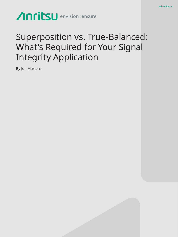# Anritsu envision: ensure

## Superposition vs. True-Balanced: What's Required for Your Signal Integrity Application

White Paper

By Jon Martens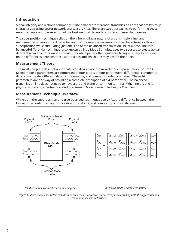## **Introduction**

Signal integrity applications commonly utilize balanced/differential transmission lines that are typically characterized using vector network analyzers (VNAs). There are two approaches to performing these measurements and the selection of the best method depends on what you need to measure.

The superposition technique relies on the inherent linear nature of a transmission line, and mathematically derives the differential and common-mode transmission line characteristics through superposition while stimulating just one side of the balanced transmission line at a time. The truebalanced/differential technique, also known as True-Mode Stimulus, uses two sources to create actual differential and common-mode stimuli. This white paper offers guidance to signal integrity designers on the differences between these approaches and which one may best fit their need.

## **Measurement Theory**

The most complete description for balanced devices are the mixed-mode S-parameters (Figure 1). Mixed-mode S-parameters are comprised of four blocks of four parameters: differential, common-to differential-mode, differential-to common-mode, and common-mode parameters. These 16 parameters are one way of providing a complete description of a 4-port device. The balanced transmission line does not need to have a ground plane or common terminal. When no ground is physically present, a "virtual" ground is assumed. Measurement Technique Overview

## **Measurement Technique Overview**

While both the superposition and true-balanced techniques use VNAs, the difference between them lies with the configured options, calibration stability, and complexity of the instrument.



*(a) Mixed-mode two-port conceptual diagram. (b) Mixed-mode S-parameter matrix.*

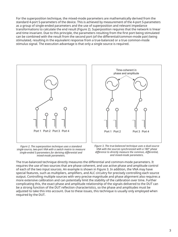For the superposition technique, the mixed-mode parameters are mathematically derived from the standard 4-port S-parameters of the device. This is achieved by measurement of the 4-port S-parameters as a group of single-ended parameters and the use of superposition and relevant impedance transformations to calculate the end result (Figure 2). Superposition requires that the network is linear and time invariant. Due to this principle, the parameters resulting from the first port being stimulated can be combined with the result from the second port (of the differential/common-mode pair) being stimulated, resulting in the equivalent response from a true-balanced or a true common-mode stimulus signal. The execution advantage is that only a single source is required.



*Figure 2. The superposition technique uses a standard single-source, two-port VNA with a switch matrix to measure single-ended S-parameters for deriving differential and mixed-mode parameters.*



*Figure 3. The true-balanced technique uses a dual-source VNA with the sources synchronized with a 180° phase difference to directly measure the common, differential, and mixed-mode parameters.*

The true-balanced technique directly measures the differential and common-mode parameters. It requires the use of two sources that are phase coherent, and use active phase and amplitude control of each of the two input sources. An example is shown in Figure 3. In addition, the VNA may have special features, such as multipliers, amplifiers, and ALC circuitry for precisely controlling each source output. Controlling multiple sources with very precise magnitude and phase alignment also requires a more extensive calibration and can potentially limit the stability of the calibration over time. Further complicating this, the exact phase and amplitude relationship of the signals delivered to the DUT can be a strong function of the DUT reflection characteristics, so the phase and amplitudes must be adjusted to take this into account. Due to these issues, this technique is usually only employed when required by the DUT.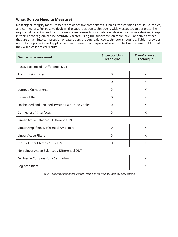## **What Do You Need to Measure?**

Most signal integrity measurements are of passive components, such as transmission lines, PCBs, cables, and connectors. For passive devices, the superposition technique is widely accepted to generate the required differential and common-mode responses from a balanced device. Even active devices, if kept in their linear region, can be accurately tested using the superposition technique. For active devices that are driven into compression or saturation, the true-balanced technique is required. Table 1 provides a list of components and applicable measurement techniques. Where both techniques are highlighted, they will give identical results.

| <b>Device to be measured</b>                      | Superposition<br><b>Technique</b> | <b>True-Balanced</b><br><b>Technique</b> |  |
|---------------------------------------------------|-----------------------------------|------------------------------------------|--|
| Passive Balanced / Differential DUT               |                                   |                                          |  |
| <b>Transmission Lines</b>                         | X                                 | X                                        |  |
| <b>PCB</b>                                        | X                                 | X                                        |  |
| <b>Lumped Components</b>                          | X                                 | X                                        |  |
| <b>Passive Filters</b>                            | X                                 | X                                        |  |
| Unshielded and Shielded Twisted Pair, Quad Cables | X                                 | X                                        |  |
| Connectors / Interfaces                           | X                                 | X                                        |  |
| Linear Active Balanced / Differential DUT         |                                   |                                          |  |
| Linear Amplifiers, Differential Amplifiers        | X                                 | X                                        |  |
| <b>Linear Active Filters</b>                      | X                                 | X                                        |  |
| Input / Output Match ADC / DAC                    | $\times$                          | X                                        |  |
| Non-Linear Active Balanced / Differential DUT     |                                   |                                          |  |
| Devices in Compression / Saturation               |                                   | X                                        |  |
| Log Amplifiers                                    |                                   | X                                        |  |

*Table 1. Superposition offers identical results in most signal integrity applications.*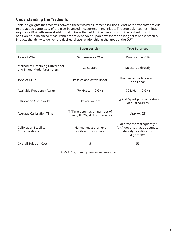## **Understanding the Tradeoffs**

Table 2 highlights the tradeoffs between these two measurement solutions. Most of the tradeoffs are due to the added complexity of the true-balanced measurement technique. The true-balanced technique requires a VNA with several additional options that add to the overall cost of the test solution. In addition, true-balanced measurements are dependent upon how short-and long-term phase stability impacts the ability to deliver the desired phase relationship at the input of the DUT.

|                                                               | Superposition                                                     | <b>True Balanced</b>                                                                                 |
|---------------------------------------------------------------|-------------------------------------------------------------------|------------------------------------------------------------------------------------------------------|
| Type of VNA                                                   | Single-source VNA                                                 | Dual-source VNA                                                                                      |
| Method of Obtaining Differential<br>and Mixed-Mode Parameters | Calculated                                                        | Measured directly                                                                                    |
| Type of DUTs                                                  | Passive and active linear                                         | Passive, active linear and<br>non-linear                                                             |
| Available Frequency Range                                     | 70 kHz to 110 GHz                                                 | 70 MHz -110 GHz                                                                                      |
| <b>Calibration Complexity</b>                                 | Typical 4-port                                                    | Typical 4-port plus calibration<br>of dual sources                                                   |
| <b>Average Calibration Time</b>                               | T (Time depends on number of<br>points, IF BW, skill of operator) | Approx. 2T                                                                                           |
| <b>Calibration Stability</b><br>Considerations                | Normal measurement<br>calibration intervals                       | Calibrate more frequently if<br>VNA does not have adequate<br>stability or calibration<br>algorithms |
| <b>Overall Solution Cost</b>                                  | 5                                                                 | 55                                                                                                   |

*Table 2. Comparison of measurement techniques.*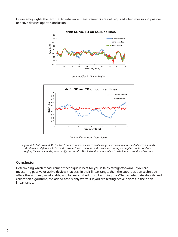Figure 4 highlights the fact that true-balance measurements are not required when measuring passive or active devices operat Conclusion



*(a) Amplifier in Linear Region*



*(b) Amplifier in Non-Linear Region*

*Figure 4. In both 4a and 4b, the two traces represent measurements using superposition and true-balanced methods. 4a shows no difference between the two methods, whereas, in 4b, when measuring an amplifier in its non-linear region, the two methods produce different results. This latter situation is when true-balance mode should be used.*

### **Conclusion**

Determining which measurement technique is best for you is fairly straightforward. If you are measuring passive or active devices that stay in their linear range, then the superposition technique offers the simplest, most stable, and lowest cost solution. Assuming the VNA has adequate stability and calibration algorithms, the added cost is only worth it if you are testing active devices in their nonlinear range.